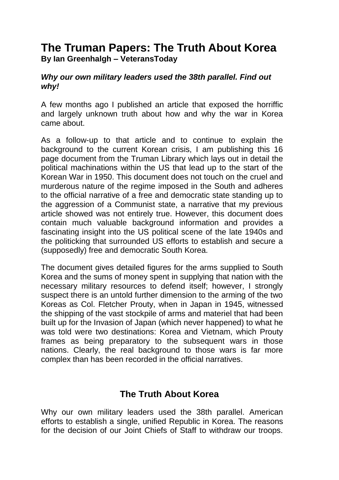# **The Truman Papers: The Truth About Korea By [Ian Greenhalgh](https://www.veteranstoday.com/author/iangreenhalgh/) – VeteransToday**

### *Why our own military leaders used the 38th parallel. Find out why!*

A few months ago I published an article that exposed the horriffic and largely unknown truth about how and why the war in Korea came about.

As a follow-up to that article and to continue to explain the background to the current Korean crisis, I am publishing this 16 page document from the Truman Library which lays out in detail the political machinations within the US that lead up to the start of the Korean War in 1950. This document does not touch on the cruel and murderous nature of the regime imposed in the South and adheres to the official narrative of a free and democratic state standing up to the aggression of a Communist state, a narrative that my previous article showed was not entirely true. However, this document does contain much valuable background information and provides a fascinating insight into the US political scene of the late 1940s and the politicking that surrounded US efforts to establish and secure a (supposedly) free and democratic South Korea.

The document gives detailed figures for the arms supplied to South Korea and the sums of money spent in supplying that nation with the necessary military resources to defend itself; however, I strongly suspect there is an untold further dimension to the arming of the two Koreas as Col. Fletcher Prouty, when in Japan in 1945, witnessed the shipping of the vast stockpile of arms and materiel that had been built up for the Invasion of Japan (which never happened) to what he was told were two destinations: Korea and Vietnam, which Prouty frames as being preparatory to the subsequent wars in those nations. Clearly, the real background to those wars is far more complex than has been recorded in the official narratives.

# **The Truth About Korea**

Why our own military leaders used the 38th parallel. American efforts to establish a single, unified Republic in Korea. The reasons for the decision of our Joint Chiefs of Staff to withdraw our troops.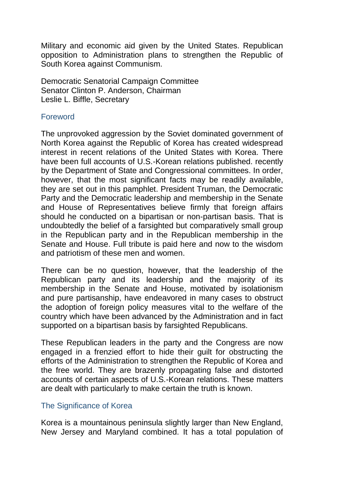Military and economic aid given by the United States. Republican opposition to Administration plans to strengthen the Republic of South Korea against Communism.

Democratic Senatorial Campaign Committee Senator Clinton P. Anderson, Chairman Leslie L. Biffle, Secretary

## Foreword

The unprovoked aggression by the Soviet dominated government of North Korea against the Republic of Korea has created widespread interest in recent relations of the United States with Korea. There have been full accounts of U.S.-Korean relations published. recently by the Department of State and Congressional committees. In order, however, that the most significant facts may be readily available, they are set out in this pamphlet. President Truman, the Democratic Party and the Democratic leadership and membership in the Senate and House of Representatives believe firmly that foreign affairs should he conducted on a bipartisan or non-partisan basis. That is undoubtedly the belief of a farsighted but comparatively small group in the Republican party and in the Republican membership in the Senate and House. Full tribute is paid here and now to the wisdom and patriotism of these men and women.

There can be no question, however, that the leadership of the Republican party and its leadership and the majority of its membership in the Senate and House, motivated by isolationism and pure partisanship, have endeavored in many cases to obstruct the adoption of foreign policy measures vital to the welfare of the country which have been advanced by the Administration and in fact supported on a bipartisan basis by farsighted Republicans.

These Republican leaders in the party and the Congress are now engaged in a frenzied effort to hide their guilt for obstructing the efforts of the Administration to strengthen the Republic of Korea and the free world. They are brazenly propagating false and distorted accounts of certain aspects of U.S.-Korean relations. These matters are dealt with particularly to make certain the truth is known.

## The Significance of Korea

Korea is a mountainous peninsula slightly larger than New England, New Jersey and Maryland combined. It has a total population of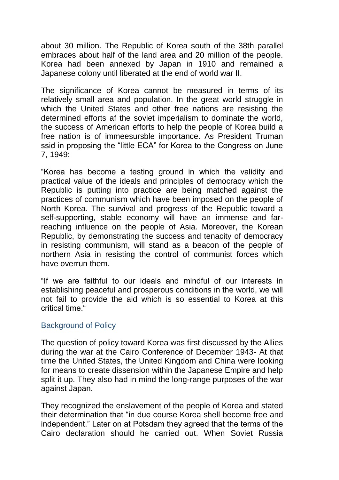about 30 million. The Republic of Korea south of the 38th parallel embraces about half of the land area and 20 million of the people. Korea had been annexed by Japan in 1910 and remained a Japanese colony until liberated at the end of world war II.

The significance of Korea cannot be measured in terms of its relatively small area and population. In the great world struggle in which the United States and other free nations are resisting the determined efforts af the soviet imperialism to dominate the world, the success of American efforts to help the people of Korea build a free nation is of immeesursble importance. As President Truman ssid in proposing the "little ECA" for Korea to the Congress on June 7, 1949:

"Korea has become a testing ground in which the validity and practical value of the ideals and principles of democracy which the Republic is putting into practice are being matched against the practices of communism which have been imposed on the people of North Korea. The survival and progress of the Republic toward a self-supporting, stable economy will have an immense and farreaching influence on the people of Asia. Moreover, the Korean Republic, by demonstrating the success and tenacity of democracy in resisting communism, will stand as a beacon of the people of northern Asia in resisting the control of communist forces which have overrun them.

"If we are faithful to our ideals and mindful of our interests in establishing peaceful and prosperous conditions in the world, we will not fail to provide the aid which is so essential to Korea at this critical time."

### Background of Policy

The question of policy toward Korea was first discussed by the Allies during the war at the Cairo Conference of December 1943- At that time the United States, the United Kingdom and China were looking for means to create dissension within the Japanese Empire and help split it up. They also had in mind the long-range purposes of the war against Japan.

They recognized the enslavement of the people of Korea and stated their determination that "in due course Korea shell become free and independent." Later on at Potsdam they agreed that the terms of the Cairo declaration should he carried out. When Soviet Russia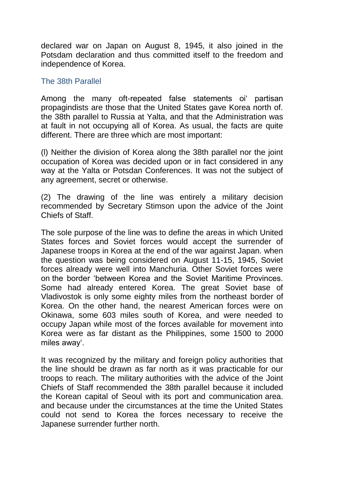declared war on Japan on August 8, 1945, it also joined in the Potsdam declaration and thus committed itself to the freedom and independence of Korea.

### The 38th Parallel

Among the many oft-repeated false statements oi' partisan propagindists are those that the United States gave Korea north of. the 38th parallel to Russia at Yalta, and that the Administration was at fault in not occupying all of Korea. As usual, the facts are quite different. There are three which are most important:

(l) Neither the division of Korea along the 38th parallel nor the joint occupation of Korea was decided upon or in fact considered in any way at the Yalta or Potsdan Conferences. It was not the subject of any agreement, secret or otherwise.

(2) The drawing of the line was entirely a military decision recommended by Secretary Stimson upon the advice of the Joint Chiefs of Staff.

The sole purpose of the line was to define the areas in which United States forces and Soviet forces would accept the surrender of Japanese troops in Korea at the end of the war against Japan. when the question was being considered on August 11-15, 1945, Soviet forces already were well into Manchuria. Other Soviet forces were on the border 'between Korea and the Soviet Maritime Provinces. Some had already entered Korea. The great Soviet base of Vladivostok is only some eighty miles from the northeast border of Korea. On the other hand, the nearest American forces were on Okinawa, some 603 miles south of Korea, and were needed to occupy Japan while most of the forces available for movement into Korea were as far distant as the Philippines, some 1500 to 2000 miles away'.

It was recognized by the military and foreign policy authorities that the line should be drawn as far north as it was practicable for our troops to reach. The military authorities with the advice of the Joint Chiefs of Staff recommended the 38th parallel because it included the Korean capital of Seoul with its port and communication area. and because under the circumstances at the time the United States could not send to Korea the forces necessary to receive the Japanese surrender further north.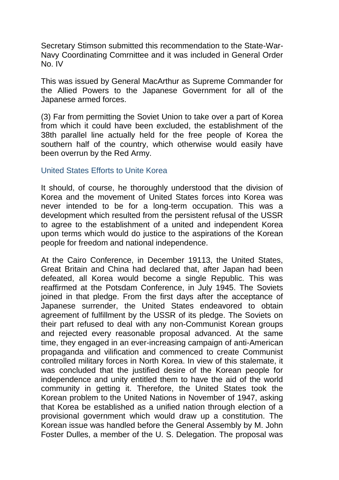Secretary Stimson submitted this recommendation to the State-War-Navy Coordinating Comrnittee and it was included in General Order No. IV

This was issued by General MacArthur as Supreme Commander for the Allied Powers to the Japanese Government for all of the Japanese armed forces.

(3) Far from permitting the Soviet Union to take over a part of Korea from which it could have been excluded, the establishment of the 38th parallel line actually held for the free people of Korea the southern half of the country, which otherwise would easily have been overrun by the Red Army.

### United States Efforts to Unite Korea

It should, of course, he thoroughly understood that the division of Korea and the movement of United States forces into Korea was never intended to be for a long-term occupation. This was a development which resulted from the persistent refusal of the USSR to agree to the establishment of a united and independent Korea upon terms which would do justice to the aspirations of the Korean people for freedom and national independence.

At the Cairo Conference, in December 19113, the United States, Great Britain and China had declared that, after Japan had been defeated, all Korea would become a single Republic. This was reaffirmed at the Potsdam Conference, in July 1945. The Soviets joined in that pledge. From the first days after the acceptance of Japanese surrender, the United States endeavored to obtain agreement of fulfillment by the USSR of its pledge. The Soviets on their part refused to deal with any non-Communist Korean groups and rejected every reasonable proposal advanced. At the same time, they engaged in an ever-increasing campaign of anti-American propaganda and vilification and commenced to create Communist controlled military forces in North Korea. In view of this stalemate, it was concluded that the justified desire of the Korean people for independence and unity entitled them to have the aid of the world community in getting it. Therefore, the United States took the Korean problem to the United Nations in November of 1947, asking that Korea be established as a unified nation through election of a provisional government which would draw up a constitution. The Korean issue was handled before the General Assembly by M. John Foster Dulles, a member of the U. S. Delegation. The proposal was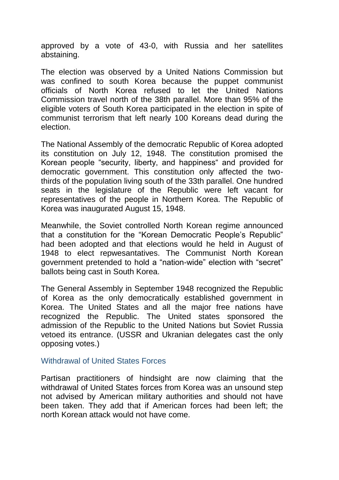approved by a vote of 43-0, with Russia and her satellites abstaining.

The election was observed by a United Nations Commission but was confined to south Korea because the puppet communist officials of North Korea refused to let the United Nations Commission travel north of the 38th parallel. More than 95% of the eligible voters of South Korea participated in the election in spite of communist terrorism that left nearly 100 Koreans dead during the election.

The National Assembly of the democratic Republic of Korea adopted its constitution on July 12, 1948. The constitution promised the Korean people "security, liberty, and happiness" and provided for democratic government. This constitution only affected the twothirds of the population living south of the 33th parallel. One hundred seats in the legislature of the Republic were left vacant for representatives of the people in Northern Korea. The Republic of Korea was inaugurated August 15, 1948.

Meanwhile, the Soviet controlled North Korean regime announced that a constitution for the "Korean Democratic People's Republic" had been adopted and that elections would he held in August of 1948 to elect repwesantatives. The Communist North Korean government pretended to hold a "nation-wide" election with "secret" ballots being cast in South Korea.

The General Assembly in September 1948 recognized the Republic of Korea as the only democratically established government in Korea. The United States and all the major free nations have recognized the Republic. The United states sponsored the admission of the Republic to the United Nations but Soviet Russia vetoed its entrance. (USSR and Ukranian delegates cast the only opposing votes.)

### Withdrawal of United States Forces

Partisan practitioners of hindsight are now claiming that the withdrawal of United States forces from Korea was an unsound step not advised by American military authorities and should not have been taken. They add that if American forces had been left; the north Korean attack would not have come.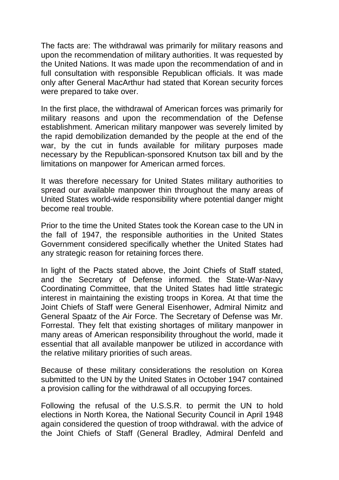The facts are: The withdrawal was primarily for military reasons and upon the recommendation of military authorities. It was requested by the United Nations. It was made upon the recommendation of and in full consultation with responsible Republican officials. It was made only after General MacArthur had stated that Korean security forces were prepared to take over.

In the first place, the withdrawal of American forces was primarily for military reasons and upon the recommendation of the Defense establishment. American military manpower was severely limited by the rapid demobilization demanded by the people at the end of the war, by the cut in funds available for military purposes made necessary by the Republican-sponsored Knutson tax bill and by the limitations on manpower for American armed forces.

It was therefore necessary for United States military authorities to spread our available manpower thin throughout the many areas of United States world-wide responsibility where potential danger might become real trouble.

Prior to the time the United States took the Korean case to the UN in the fall of 1947, the responsible authorities in the United States Government considered specifically whether the United States had any strategic reason for retaining forces there.

In light of the Pacts stated above, the Joint Chiefs of Staff stated, and the Secretary of Defense informed. the State-War-Navy Coordinating Committee, that the United States had little strategic interest in maintaining the existing troops in Korea. At that time the Joint Chiefs of Staff were General Eisenhower, Admiral Nimitz and General Spaatz of the Air Force. The Secretary of Defense was Mr. Forrestal. They felt that existing shortages of military manpower in many areas of American responsibility throughout the world, made it essential that all available manpower be utilized in accordance with the relative military priorities of such areas.

Because of these military considerations the resolution on Korea submitted to the UN by the United States in October 1947 contained a provision calling for the withdrawal of all occupying forces.

Following the refusal of the U.S.S.R. to permit the UN to hold elections in North Korea, the National Security Council in April 1948 again considered the question of troop withdrawal. with the advice of the Joint Chiefs of Staff (General Bradley, Admiral Denfeld and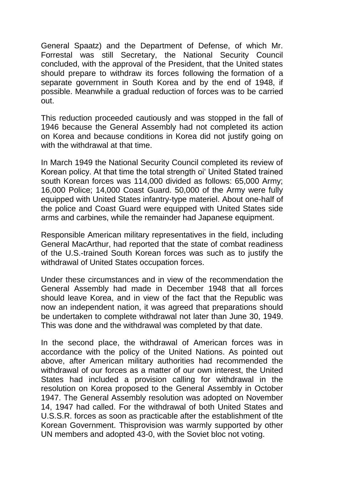General Spaatz) and the Department of Defense, of which Mr. Forrestal was still Secretary, the National Security Council concluded, with the approval of the President, that the United states should prepare to withdraw its forces following the formation of a separate government in South Korea and by the end of 1948, if possible. Meanwhile a gradual reduction of forces was to be carried out.

This reduction proceeded cautiously and was stopped in the fall of 1946 because the General Assembly had not completed its action on Korea and because conditions in Korea did not justify going on with the withdrawal at that time.

In March 1949 the National Security Council completed its review of Korean policy. At that time the total strength oi' United Stated trained south Korean forces was 114,000 divided as follows: 65,000 Army; 16,000 Police; 14,000 Coast Guard. 50,000 of the Army were fully equipped with United States infantry-type materiel. About one-half of the police and Coast Guard were equipped with United States side arms and carbines, while the remainder had Japanese equipment.

Responsible American military representatives in the field, including General MacArthur, had reported that the state of combat readiness of the U.S.-trained South Korean forces was such as to justify the withdrawal of United States occupation forces.

Under these circumstances and in view of the recommendation the General Assembly had made in December 1948 that all forces should leave Korea, and in view of the fact that the Republic was now an independent nation, it was agreed that preparations should be undertaken to complete withdrawal not later than June 30, 1949. This was done and the withdrawal was completed by that date.

In the second place, the withdrawal of American forces was in accordance with the policy of the United Nations. As pointed out above, after American military authorities had recommended the withdrawal of our forces as a matter of our own interest, the United States had included a provision calling for withdrawal in the resolution on Korea proposed to the General Assembly in October 1947. The General Assembly resolution was adopted on November 14, 1947 had called. For the withdrawal of both United States and U.S.S.R. forces as soon as practicable after the establishment of tlte Korean Government. Thisprovision was warmly supported by other UN members and adopted 43-0, with the Soviet bloc not voting.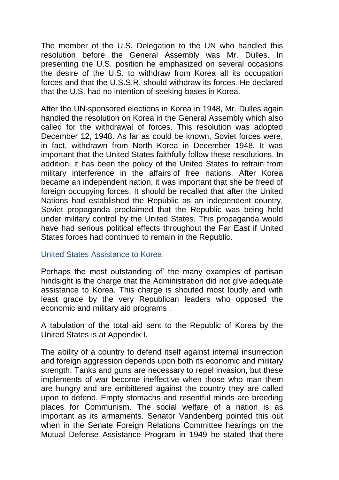The member of the U.S. Delegation to the UN who handled this resolution before the General Assembly was Mr. Dulles. In presenting the U.S. position he emphasized on several occasions the desire of the U.S. to withdraw from Korea all its occupation forces and that the U.S.S.R. should withdraw its forces. He declared that the U.S. had no intention of seeking bases in Korea.

After the UN-sponsored elections in Korea in 1948, Mr. Dulles again handled the resolution on Korea in the General Assembly which also called for the withdrawal of forces. This resolution was adopted December 12, 1948. As far as could be known, Soviet forces were, in fact, withdrawn from North Korea in December 1948. It was important that the United States faithfully follow these resolutions. In addition, it has been the policy of the United States to refrain from military interference in the affairs of free nations. After Korea became an independent nation, it was important that she be freed of foreign occupying forces. It should be recalled that after the United Nations had established the Republic as an independent country, Soviet propaganda proclaimed that the Republic was being held under military control by the United States. This propaganda would have had serious political effects throughout the Far East if United States forces had continued to remain in the Republic.

### United States Assistance to Korea

Perhaps the most outstanding of' the many examples of partisan hindsight is the charge that the Administration did not give adequate assistance to Korea. This charge is shouted most loudly and with least grace by the very Republican leaders who opposed the economic and military aid programs .

A tabulation of the total aid sent to the Republic of Korea by the United States is at Appendix I.

The ability of a country to defend itself against internal insurrection and foreign aggression depends upon both its economic and military strength. Tanks and guns are necessary to repel invasion, but these implements of war become ineffective when those who man them are hungry and are embittered against the country they are called upon to defend. Empty stomachs and resentful minds are breeding places for Communism. The social welfare of a nation is as important as its armaments. Senator Vandenberg pointed this out when in the Senate Foreign Relations Committee hearings on the Mutual Defense Assistance Program in 1949 he stated that there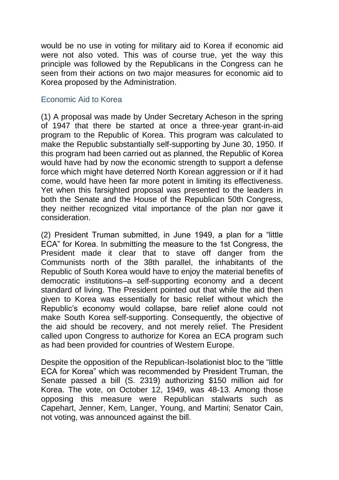would be no use in voting for military aid to Korea if economic aid were not also voted. This was of course true, yet the way this principle was followed by the Republicans in the Congress can he seen from their actions on two major measures for economic aid to Korea proposed by the Administration.

### Economic Aid to Korea

(1) A proposal was made by Under Secretary Acheson in the spring of 1947 that there be started at once a three-year grant-in-aid program to the Republic of Korea. This program was calculated to make the Republic substantially self-supporting by June 30, 1950. If this program had been carried out as planned, the Republic of Korea would have had by now the economic strength to support a defense force which might have deterred North Korean aggression or if it had come, would have heen far more potent in limiting its effectiveness. Yet when this farsighted proposal was presented to the leaders in both the Senate and the House of the Republican 50th Congress, they neither recognized vital importance of the plan nor gave it consideration.

(2) President Truman submitted, in June 1949, a plan for a "little ECA" for Korea. In submitting the measure to the 1st Congress, the President made it clear that to stave off danger from the Communists north of the 38th parallel, the inhabitants of the Republic of South Korea would have to enjoy the material benefits of democratic institutions–a self-supporting economy and a decent standard of living. The President pointed out that while the aid then given to Korea was essentially for basic relief without which the Republic's economy would collapse, bare relief alone could not make South Korea self-supporting. Consequently, the objective of the aid should be recovery, and not merely relief. The President called upon Congress to authorize for Korea an ECA program such as had been provided for countries of Western Europe.

Despite the opposition of the Republican-Isolationist bloc to the "little ECA for Korea" which was recommended by President Truman, the Senate passed a bill (S. 2319) authorizing \$150 million aid for Korea. The vote, on October 12, 1949, was 48-13. Among those opposing this measure were Republican stalwarts such as Capehart, Jenner, Kem, Langer, Young, and Martini; Senator Cain, not voting, was announced against the bill.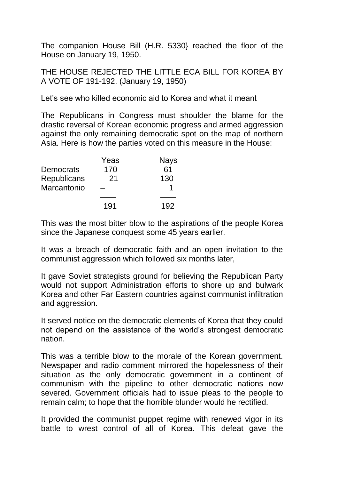The companion House Bill (H.R. 5330} reached the floor of the House on January 19, 1950.

THE HOUSE REJECTED THE LITTLE ECA BILL FOR KOREA BY A VOTE OF 191-192. (January 19, 1950)

Let's see who killed economic aid to Korea and what it meant

The Republicans in Congress must shoulder the blame for the drastic reversal of Korean economic progress and armed aggression against the only remaining democratic spot on the map of northern Asia. Here is how the parties voted on this measure in the House:

|             | Yeas | <b>Nays</b> |
|-------------|------|-------------|
| Democrats   | 170  | 61          |
| Republicans | 21   | 130         |
| Marcantonio |      |             |
|             |      |             |
|             | 191  | 192         |

This was the most bitter blow to the aspirations of the people Korea since the Japanese conquest some 45 years earlier.

It was a breach of democratic faith and an open invitation to the communist aggression which followed six months later,

It gave Soviet strategists ground for believing the Republican Party would not support Administration efforts to shore up and bulwark Korea and other Far Eastern countries against communist infiltration and aggression.

It served notice on the democratic elements of Korea that they could not depend on the assistance of the world's strongest democratic nation.

This was a terrible blow to the morale of the Korean government. Newspaper and radio comment mirrored the hopelessness of their situation as the only democratic government in a continent of communism with the pipeline to other democratic nations now severed. Government officials had to issue pleas to the people to remain calm; to hope that the horrible blunder would he rectified.

It provided the communist puppet regime with renewed vigor in its battle to wrest control of all of Korea. This defeat gave the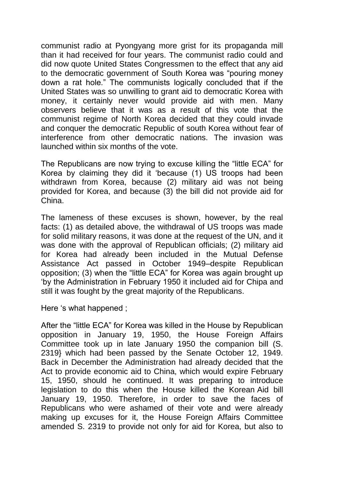communist radio at Pyongyang more grist for its propaganda mill than it had received for four years. The communist radio could and did now quote United States Congressmen to the effect that any aid to the democratic government of South Korea was "pouring money down a rat hole." The communists logically concluded that if the United States was so unwilling to grant aid to democratic Korea with money, it certainly never would provide aid with men. Many observers believe that it was as a result of this vote that the communist regime of North Korea decided that they could invade and conquer the democratic Republic of south Korea without fear of interference from other democratic nations. The invasion was launched within six months of the vote.

The Republicans are now trying to excuse killing the "little ECA" for Korea by claiming they did it 'because (1) US troops had been withdrawn from Korea, because (2) military aid was not being provided for Korea, and because (3) the bill did not provide aid for China.

The lameness of these excuses is shown, however, by the real facts: (1) as detailed above, the withdrawal of US troops was made for solid military reasons, it was done at the request of the UN, and it was done with the approval of Republican officials; (2) military aid for Korea had already been included in the Mutual Defense Assistance Act passed in October 1949–despite Republican opposition; (3) when the "little ECA" for Korea was again brought up 'by the Administration in February 1950 it included aid for Chipa and still it was fought by the great majority of the Republicans.

Here 's what happened ;

After the "little ECA" for Korea was killed in the House by Republican opposition in January 19, 1950, the House Foreign Affairs Committee took up in late January 1950 the companion bill (S. 2319} which had been passed by the Senate October 12, 1949. Back in December the Administration had already decided that the Act to provide economic aid to China, which would expire February 15, 1950, should he continued. It was preparing to introduce legislation to do this when the House killed the Korean Aid bill January 19, 1950. Therefore, in order to save the faces of Republicans who were ashamed of their vote and were already making up excuses for it, the House Foreign Affairs Committee amended S. 2319 to provide not only for aid for Korea, but also to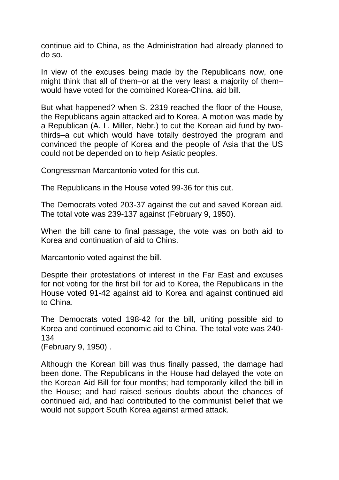continue aid to China, as the Administration had already planned to do so.

In view of the excuses being made by the Republicans now, one might think that all of them–or at the very least a majority of them– would have voted for the combined Korea-China. aid bill.

But what happened? when S. 2319 reached the floor of the House, the Republicans again attacked aid to Korea. A motion was made by a Republican (A. L. Miller, Nebr.) to cut the Korean aid fund by twothirds–a cut which would have totally destroyed the program and convinced the people of Korea and the people of Asia that the US could not be depended on to help Asiatic peoples.

Congressman Marcantonio voted for this cut.

The Republicans in the House voted 99-36 for this cut.

The Democrats voted 203-37 against the cut and saved Korean aid. The total vote was 239-137 against (February 9, 1950).

When the bill cane to final passage, the vote was on both aid to Korea and continuation of aid to Chins.

Marcantonio voted against the bill.

Despite their protestations of interest in the Far East and excuses for not voting for the first bill for aid to Korea, the Republicans in the House voted 91-42 against aid to Korea and against continued aid to China.

The Democrats voted 198-42 for the bill, uniting possible aid to Korea and continued economic aid to China. The total vote was 240- 134

(February 9, 1950) .

Although the Korean bill was thus finally passed, the damage had been done. The Republicans in the House had delayed the vote on the Korean Aid Bill for four months; had temporarily killed the bill in the House; and had raised serious doubts about the chances of continued aid, and had contributed to the communist belief that we would not support South Korea against armed attack.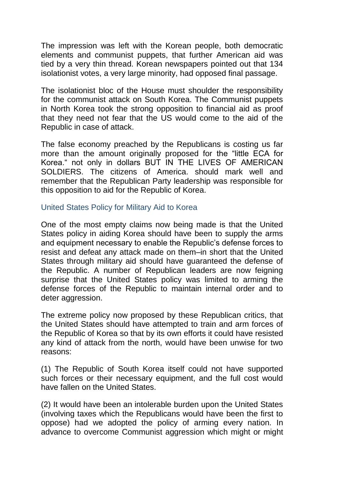The impression was left with the Korean people, both democratic elements and communist puppets, that further American aid was tied by a very thin thread. Korean newspapers pointed out that 134 isolationist votes, a very large minority, had opposed final passage.

The isolationist bloc of the House must shoulder the responsibility for the communist attack on South Korea. The Communist puppets in North Korea took the strong opposition to financial aid as proof that they need not fear that the US would come to the aid of the Republic in case of attack.

The false economy preached by the Republicans is costing us far more than the amount originally proposed for the "little ECA for Korea." not only in dollars BUT IN THE LIVES OF AMERICAN SOLDIERS. The citizens of America. should mark well and remember that the Republican Party leadership was responsible for this opposition to aid for the Republic of Korea.

### United States Policy for Military Aid to Korea

One of the most empty claims now being made is that the United States policy in aiding Korea should have been to supply the arms and equipment necessary to enable the Republic's defense forces to resist and defeat any attack made on them–in short that the United States through military aid should have guaranteed the defense of the Republic. A number of Republican leaders are now feigning surprise that the United States policy was limited to arming the defense forces of the Republic to maintain internal order and to deter aggression.

The extreme policy now proposed by these Republican critics, that the United States should have attempted to train and arm forces of the Republic of Korea so that by its own efforts it could have resisted any kind of attack from the north, would have been unwise for two reasons:

(1) The Republic of South Korea itself could not have supported such forces or their necessary equipment, and the full cost would have fallen on the United States.

(2) It would have been an intolerable burden upon the United States (involving taxes which the Republicans would have been the first to oppose) had we adopted the policy of arming every nation. In advance to overcome Communist aggression which might or might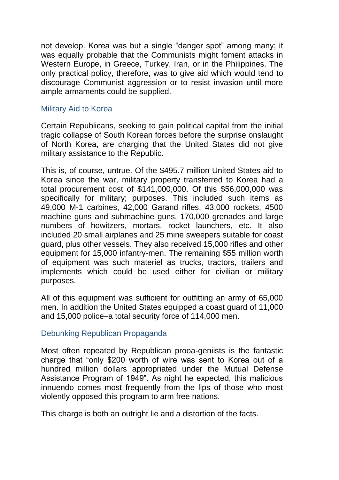not develop. Korea was but a single "danger spot" among many; it was equally probable that the Communists might foment attacks in Western Europe, in Greece, Turkey, Iran, or in the Philippines. The only practical policy, therefore, was to give aid which would tend to discourage Communist aggression or to resist invasion until more ample armaments could be supplied.

### Military Aid to Korea

Certain Republicans, seeking to gain political capital from the initial tragic collapse of South Korean forces before the surprise onslaught of North Korea, are charging that the United States did not give military assistance to the Republic.

This is, of course, untrue. Of the \$495.7 million United States aid to Korea since the war, military property transferred to Korea had a total procurement cost of \$141,000,000. Of this \$56,000,000 was specifically for military; purposes. This included such items as 49,000 M-1 carbines, 42,000 Garand rifles, 43,000 rockets, 4500 machine guns and suhmachine guns, 170,000 grenades and large numbers of howitzers, mortars, rocket launchers, etc. It also included 20 small airplanes and 25 mine sweepers suitable for coast guard, plus other vessels. They also received 15,000 rifles and other equipment for 15,000 infantry-men. The remaining \$55 million worth of equipment was such materiel as trucks, tractors, trailers and implements which could be used either for civilian or military purposes.

All of this equipment was sufficient for outfitting an army of 65,000 men. In addition the United States equipped a coast guard of 11,000 and 15,000 police–a total security force of 114,000 men.

### Debunking Republican Propaganda

Most often repeated by Republican prooa-geniists is the fantastic charge that "only \$200 worth of wire was sent to Korea out of a hundred million dollars appropriated under the Mutual Defense Assistance Program of 1949". As night he expected, this malicious innuendo comes most frequently from the lips of those who most violently opposed this program to arm free nations.

This charge is both an outright lie and a distortion of the facts.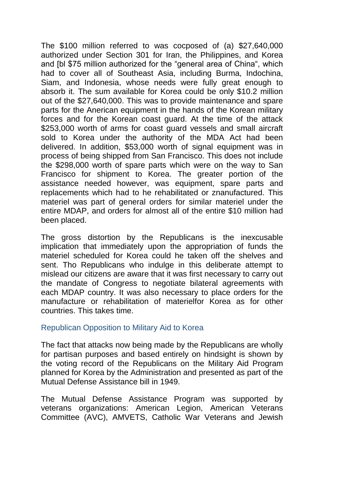The \$100 million referred to was cocposed of (a) \$27,640,000 authorized under Section 301 for Iran, the Philippines, and Korea and [bl \$75 million authorized for the "general area of China", which had to cover all of Southeast Asia, including Burma, Indochina, Siam, and Indonesia, whose needs were fully great enough to absorb it. The sum available for Korea could be only \$10.2 million out of the \$27,640,000. This was to provide maintenance and spare parts for the Anerican equipment in the hands of the Korean military forces and for the Korean coast guard. At the time of the attack \$253,000 worth of arms for coast guard vessels and small aircraft sold to Korea under the authority of the MDA Act had been delivered. In addition, \$53,000 worth of signal equipment was in process of being shipped from San Francisco. This does not include the \$298,000 worth of spare parts which were on the way to San Francisco for shipment to Korea. The greater portion of the assistance needed however, was equipment, spare parts and replacements which had to he rehabilitated or znanufactured. This materiel was part of general orders for similar materiel under the entire MDAP, and orders for almost all of the entire \$10 million had been placed.

The gross distortion by the Republicans is the inexcusable implication that immediately upon the appropriation of funds the materiel scheduled for Korea could he taken off the shelves and sent. Tho Republicans who indulge in this deliberate attempt to mislead our citizens are aware that it was first necessary to carry out the mandate of Congress to negotiate bilateral agreements with each MDAP country. It was also necessary to place orders for the manufacture or rehabilitation of materielfor Korea as for other countries. This takes time.

### Republican Opposition to Military Aid to Korea

The fact that attacks now being made by the Republicans are wholly for partisan purposes and based entirely on hindsight is shown by the voting record of the Republicans on the Military Aid Program planned for Korea by the Administration and presented as part of the Mutual Defense Assistance bill in 1949.

The Mutual Defense Assistance Program was supported by veterans organizations: American Legion, American Veterans Committee (AVC), AMVETS, Catholic War Veterans and Jewish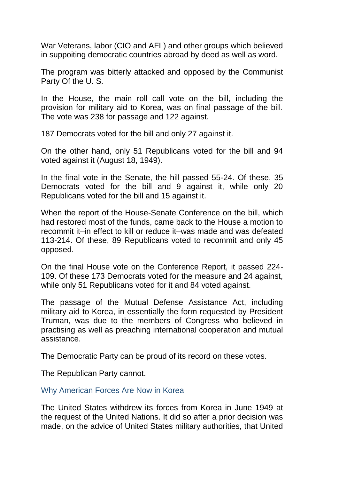War Veterans, labor (CIO and AFL) and other groups which believed in suppoiting democratic countries abroad by deed as well as word.

The program was bitterly attacked and opposed by the Communist Party Of the U. S.

In the House, the main roll call vote on the bill, including the provision for military aid to Korea, was on final passage of the bill. The vote was 238 for passage and 122 against.

187 Democrats voted for the bill and only 27 against it.

On the other hand, only 51 Republicans voted for the bill and 94 voted against it (August 18, 1949).

In the final vote in the Senate, the hill passed 55-24. Of these, 35 Democrats voted for the bill and 9 against it, while only 20 Republicans voted for the bill and 15 against it.

When the report of the House-Senate Conference on the bill, which had restored most of the funds, came back to the House a motion to recommit it–in effect to kill or reduce it–was made and was defeated 113-214. Of these, 89 Republicans voted to recommit and only 45 opposed.

On the final House vote on the Conference Report, it passed 224- 109. Of these 173 Democrats voted for the measure and 24 against, while only 51 Republicans voted for it and 84 voted against.

The passage of the Mutual Defense Assistance Act, including military aid to Korea, in essentially the form requested by President Truman, was due to the members of Congress who believed in practising as well as preaching international cooperation and mutual assistance.

The Democratic Party can be proud of its record on these votes.

The Republican Party cannot.

Why American Forces Are Now in Korea

The United States withdrew its forces from Korea in June 1949 at the request of the United Nations. It did so after a prior decision was made, on the advice of United States military authorities, that United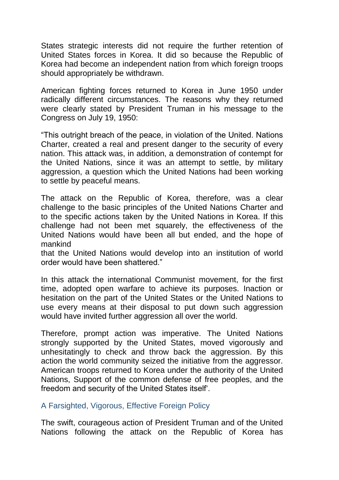States strategic interests did not require the further retention of United States forces in Korea. It did so because the Republic of Korea had become an independent nation from which foreign troops should appropriately be withdrawn.

American fighting forces returned to Korea in June 1950 under radically different circumstances. The reasons why they returned were clearly stated by President Truman in his message to the Congress on July 19, 1950:

"This outright breach of the peace, in violation of the United. Nations Charter, created a real and present danger to the security of every nation. This attack was, in addition, a demonstration of contempt for the United Nations, since it was an attempt to settle, by military aggression, a question which the United Nations had been working to settle by peaceful means.

The attack on the Republic of Korea, therefore, was a clear challenge to the basic principles of the United Nations Charter and to the specific actions taken by the United Nations in Korea. If this challenge had not been met squarely, the effectiveness of the United Nations would have been all but ended, and the hope of mankind

that the United Nations would develop into an institution of world order would have been shattered."

In this attack the international Communist movement, for the first time, adopted open warfare to achieve its purposes. Inaction or hesitation on the part of the United States or the United Nations to use every means at their disposal to put down such aggression would have invited further aggression all over the world.

Therefore, prompt action was imperative. The United Nations strongly supported by the United States, moved vigorously and unhesitatingly to check and throw back the aggression. By this action the world community seized the initiative from the aggressor. American troops returned to Korea under the authority of the United Nations, Support of the common defense of free peoples, and the freedom and security of the United States itself'.

### A Farsighted, Vigorous, Effective Foreign Policy

The swift, courageous action of President Truman and of the United Nations following the attack on the Republic of Korea has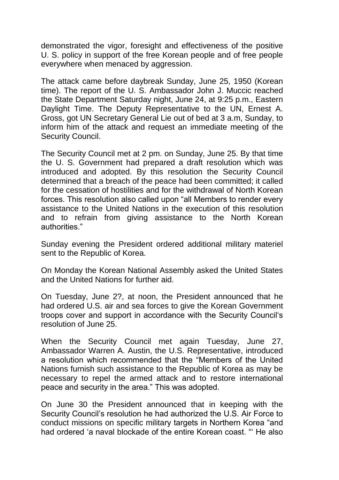demonstrated the vigor, foresight and effectiveness of the positive U. S. policy in support of the free Korean people and of free people everywhere when menaced by aggression.

The attack came before daybreak Sunday, June 25, 1950 (Korean time). The report of the U. S. Ambassador John J. Muccic reached the State Department Saturday night, June 24, at 9:25 p.m., Eastern Daylight Time. The Deputy Representative to the UN, Ernest A. Gross, got UN Secretary General Lie out of bed at 3 a.m, Sunday, to inform him of the attack and request an immediate meeting of the Security Council.

The Security Council met at 2 pm. on Sunday, June 25. By that time the U. S. Government had prepared a draft resolution which was introduced and adopted. By this resolution the Security Council determined that a breach of the peace had been committed; it called for the cessation of hostilities and for the withdrawal of North Korean forces. This resolution also called upon "all Members to render every assistance to the United Nations in the execution of this resolution and to refrain from giving assistance to the North Korean authorities."

Sunday evening the President ordered additional military materiel sent to the Republic of Korea.

On Monday the Korean National Assembly asked the United States and the United Nations for further aid.

On Tuesday, June 2?, at noon, the President announced that he had ordered U.S. air and sea forces to give the Korean Government troops cover and support in accordance with the Security Council's resolution of June 25.

When the Security Council met again Tuesday, June 27, Ambassador Warren A. Austin, the U.S. Representative, introduced a resolution which recommended that the "Members of the United Nations furnish such assistance to the Republic of Korea as may be necessary to repel the armed attack and to restore international peace and security in the area." This was adopted.

On June 30 the President announced that in keeping with the Security Council's resolution he had authorized the U.S. Air Force to conduct missions on specific military targets in Northern Korea "and had ordered 'a naval blockade of the entire Korean coast. "' He also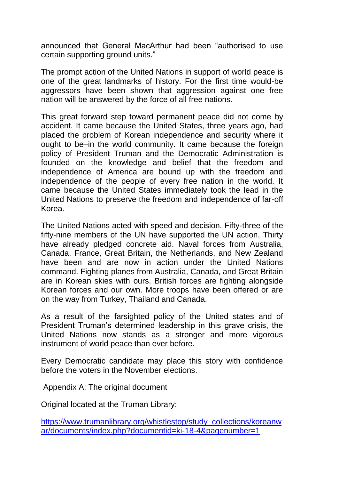announced that General MacArthur had been "authorised to use certain supporting ground units."

The prompt action of the United Nations in support of world peace is one of the great landmarks of history. For the first time would-be aggressors have been shown that aggression against one free nation will be answered by the force of all free nations.

This great forward step toward permanent peace did not come by accident. It came because the United States, three years ago, had placed the problem of Korean independence and security where it ought to be–in the world community. It came because the foreign policy of President Truman and the Democratic Administration is founded on the knowledge and belief that the freedom and independence of America are bound up with the freedom and independence of the people of every free nation in the world. It came because the United States immediately took the lead in the United Nations to preserve the freedom and independence of far-off Korea.

The United Nations acted with speed and decision. Fifty-three of the fifty-nine members of the UN have supported the UN action. Thirty have already pledged concrete aid. Naval forces from Australia, Canada, France, Great Britain, the Netherlands, and New Zealand have been and are now in action under the United Nations command. Fighting planes from Australia, Canada, and Great Britain are in Korean skies with ours. British forces are fighting alongside Korean forces and our own. More troops have been offered or are on the way from Turkey, Thailand and Canada.

As a result of the farsighted policy of the United states and of President Truman's determined leadership in this grave crisis, the United Nations now stands as a stronger and more vigorous instrument of world peace than ever before.

Every Democratic candidate may place this story with confidence before the voters in the November elections.

Appendix A: The original document

Original located at the Truman Library:

[https://www.trumanlibrary.org/whistlestop/study\\_collections/koreanw](https://www.trumanlibrary.org/whistlestop/study_collections/koreanwar/documents/index.php?documentid=ki-18-4&pagenumber=1) [ar/documents/index.php?documentid=ki-18-4&pagenumber=1](https://www.trumanlibrary.org/whistlestop/study_collections/koreanwar/documents/index.php?documentid=ki-18-4&pagenumber=1)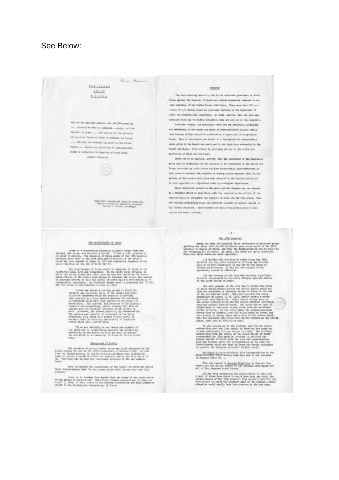### See Below:

232, 13721 48.02  $1.1.1.1$ 

Kenne Roberts

My our my stilling leaders und the 30m perallel ters incrime errorse te esteninte a stegie, mirror Squitte in there .... the research for the decision of our fields think of their to situate we haven .... stillingy out encount uit given by the thirset States .... Servicine opposition to Automotivesters plans to elemetics the suppose of finals more spirat conster.

profile desetorial computes deset<br>such contains F. Anterests, Castro<br>fauthe L. Effilia, Borenary

#### THE ATHLETISCHE OF YOUR

. Here, is a more<br>interest probable clightly because that the highest state of a<br>total law decays with mapping and the first time lyest and the state of a<br>time of the land ages and 20 million of the propint probable relev

The algorithments of fracta cannot be measured in tests of the relations<br>(i.e.  $\eta$  is algorithment of fracta cannot be measured in the<br>distribution of the system scalar fracta can be relative to the system<br>of the system

 $\sim$  transitions of the following procedure in the contrast of the state of the state of the positions of the contrast procedure in the position of the position of the positions of the positions with the results of the po

 $^\circ$  To we recitated to our ideals not station of our interests in could<br>drive possibly a special and properties and the set of the set of the set<br>of  $\alpha$  of the set of the set of the set of the set of<br> $\alpha$  of the set of

#### Distanced of Initial

. The question of pullary toward limits was first distanced by the similar field that the set the chiral continuum of factories (iii). At that the the bulk of the set of the set of the set of the set of the set of the set

. They computed the materonical of the period of firms and senior postest,  $\epsilon$  -minerics that "In the course firms shall functor from and links

 $In this, it is that the weight that the terms of the follow relation, which is possible to be a set of  $\alpha$ , then  $\beta = 0$  and  $\beta = 0$ , then  $\alpha = 0$  and  $\alpha = 0$ . Then,  $\beta = 0$  and  $\beta = 0$ , then  $\alpha = 0$  and  $\alpha = 0$ . That is, if  $\alpha = 0$  and  $\alpha = 0$  and  $\alpha = 0$ .$ 

**Videoso** 

the uprovised approaches by the instant duringted generators of Martin Error against the negative of three lost created videoperal islamed in resect relations of the fields jimter with forms. There have been full uneverte of U.S.-Rowen relations politicet recently by the hopersent of Date of fregentinal contriess. It order, however, that the sust sig-Ufficert facts may be readily eralistic, they are set not in this paraticle.

Freiddet Trees, the Descriptic Party and the Descriptic Insterakty at ambership in the linear and Brow of Supresentatives builders firmly the feeligs offers stead to contacted as a toportion or an-portion both. That is unburiedly the locket of a funcigated but compensionly would group in the importance purity and to the importance conferrably to the sate and frome. Full tellote is pull here not ure to the circle and politician of these nes aut wines.

There cut be so guardon, however, that the backetship of the imposition yetly not the leadership and the majority of the sestership in the resole cod-Boss, ertiretet by tailattakter sai pies particulatie, have subscript to hany came to stateurs the adoption of freedom policy assumes withi to the veillare of the crucity which have been advanced by the administration and In first supported on a timertians basis by furnishess meantaness.

Have forcition leniure to the party and the forgress are now my In a frequise affract to hide their galik for electrocking the efforts of the Alabsbration to strengthen the lightific of firms and the first world. They are tressely propigating false and disturbed security of contain separts of (b)-down relations. There actues are lealt with particularly to relet certain the texth is looks.

### $\mathcal{L}$

The Sith mention.  $\pmb{\delta}$  areng the empty of<br>a reposed failer statements of purthers are the proposition are then<br>a that the field direction proposition of the Site model of the Site are<br>the statement of the Site of the Site of the Site a

(1) Belther the diversion of iteras along the Meh parallel me the Julia computes of ineas was foundationally as in their computes in any way at the finite conduction rate and the scale of  $\log$  and  $\log$  and  $\log$  and  $\log$  a

(2) The descript of the line was entirely a mixtanger<br>down resonantial by horrotony follows upon the abits the Jubits of Staff.

 $\sim$  the state calculates of gradie. This was in ferties was an additional control of the state of the state of the state of the state of the state of the state of the state of the state of the state of the state of the s

It was recognized by the atribuey ast Fereign policy and therefore the the time simulation of the time as the state of the state of the state of the state of the state of the state of the state of the state of the state o

Saturdays retracts exhalted this resonandation to the state-SiP-SiPy coordinating consisten and it was included in dense<br>all prior  $\otimes$  .

This was towed by denoted Healtycher as degrees from<br>seater for the Allind freezy to the Alpham deverance for all of the Aspanus arms formul.

(3) For free possibility the first<br>of this is take restriction of gars of face is not the splitt property<br>contained of the problem in a secondly field for the possibility in<br>the free point of the problem matrix of the mat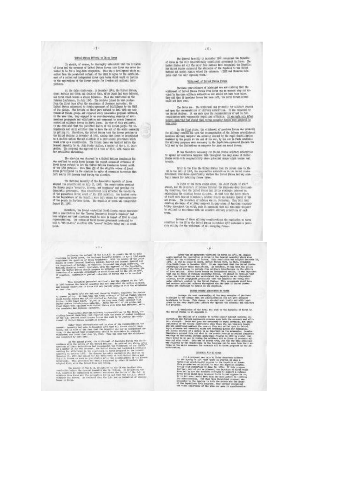#### $-1.1$

#### Stated States Affreds to Unite Rene

Th should, of mores, to the<br>resulty sabirated that the firtuing of forces well the more<br>and  $\sigma$  three detections (when the most consider to be<br>able to be considered to be a line to consider the state of the state<br>of the

produces. It the calculate continuous, it househor 1993, the trivial district, the calculate and chosen as which produces. This was restricted in Section 1993, the trivial of the section of the section of the section of t

The electron was observed by a during incomination interval by more<br>than the point of the electron incoming the region constants of<br>translation  $\alpha^p$  for the latter incoming to the constant<br>in terms of the Step incoming

The Bestlem) densitly at the democratic member of forest singlete of the model<br>to a constitution on  $\lambda(2)$  15, 1987. The sensitive<br>ion presinct the democratic member of the formula of the formula proposes<br>of . Then const

montative, the freezes controlled for<br>the formal ranges announced that a constitution for the "invest bandwith"<br>Faque's implition and that adjacent scale in the significant and<br>in a significant scale is the significant sc

#### $-7.4$

Following the radial of the first<br>All, to provin the HP to with the continue in method for special the special special special special special special special special special special special special special special specia

This melodium presented anotherator and one atomped in the full becomes the monocal According and not completed its author on monocalitation is first and the partity gride on our the virtuing theory at

. In march 1980 the initianal decoratiny council results<br>and the results of the first proposed there are the set that the set<br>which the set of the set of the set of the set of the set of the set of<br>the  $\sim$  0.000 set of t

. Becausables a<br>nuclear witnings representatives in the field of the fundant rest from<br>the functions, but respected that the start is easy of the fundant rest on the<br>start from the start of the start of the start of the s

passi at mater these eternations<br>as and in view of the recommendation the measurement change there eternate<br>the formula in particle in the case of the control (see the corresponding<br>the state of the function is equal to c

In the second plane, the strategy<br>of Austrian furnest as also series as the simple of  $\alpha$ <br>is more than  $\alpha$  from the second property. As pointed and form<br> $\alpha$  from the second that  $\alpha$  is the second the strategy<br>of the s , Javon to such as puretions. This provision was well

where we are the first<br>set that all variant  $\sim$  10 GeV was been<br>defined that the model of the coupled of the coupled point<br> $\sim$  10 GeV was been assumed to the point<br>of the coupled of the point of the coupled of the coupl ă The Sessent Associaly in importer 1944 recognised the Septitin of mean as the value functional presented in forces. The final prior and  $\lambda$  is the same of the second the second of the second in the control of the final p

#### Vithinwood of Builed States Pulses.

. Notice<br>at practicularies of Moristans sees channing that the symbology of fusively makes from from from an an one-on step and all-<br>that by Assume will bey scale-within and christin from here here solved<br>they and their f

The fluids are: The winkleted, our principly for all<br>interpolated red lines in constanting of all interpolated by the Oricle fields<br>well as  $\sim 10$  and  $\sim 10$  and  $\sim 10$  <br>and  $\sim 10$  and  $\sim 10$  and  $\sim 10$  and  $\sim 10$ 

In the first plane, the vibidirect of deerless freeze are primiting for which<br>ty readily like ups the representation of the holomog establishmether<br>colours sattway mapper was severely idealed by the rapid depending<br>the fo

It sus than<br>due assume for fatted frame at<br>litery authorities to speed war containing suppose this throughout the may see<br>as of initial fitters with this respectivity there priorital magar sight tensor real treaters.

. If<br>the to the time the literal status tenis the iterats case to the literature in<br> $\mathcal{O}(H)$ , the respectively contained as the model status demonstrate<br>transformation considerable points the model that is the contained

. Do Hold at the factor annual show, the data chiese of a<br>ratio spaces, and the fractions of the mass means the state-size may determined at<br> $\eta$  decreases and interests on the states and the state<br>of the control of the s smas.

Better of these additing combinations the resolution on drive substitut to the 19  $\eta$  the fixing detection is continue  $10^2$  contained a position withing for the withinwall of all minigring forms.

#### $-8.1$

and a solid for the Government whethers in force, in 1965, it is followed and the the value of the content of  $\tau$  from the field for the value of the content of  $\tau$  from the state of the matrix from the content of the c

#### EXISS MICHAEL AGENCIANCE NO NORRA

Perhaps the met constanting of the may employ of particles in<br>stabilities to the simple that the shoulders in  $\phi$  and<br> $\phi$  is the simple to the simple that is not simple<br>in the simple space in the simple space in the sim

A teledation of the trual aid such to the Aspaking of Korea by the United States is at Assembly 2.

We Bullett frames in all Appendix 2. A choose insert and<br>the flatence is convenient and fixed the control of  $\Lambda$ <br>control and appears on the control of the control of the control of the<br>street in the control of the contro

#### Aftermann Arts and strongs

 $\{11,3,4\}$  are<br>special one and a hy them forcestary Atleana in the special of the special of the special of the special of the special of the special or the special or the special or the special or the special or the sp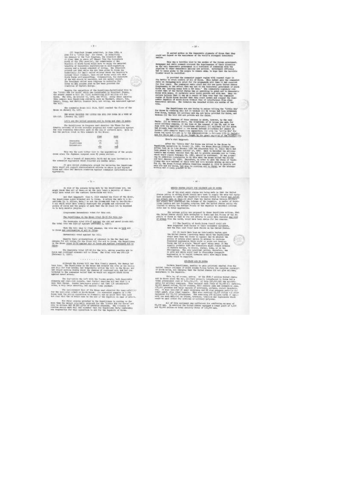$\langle 2 \rangle$  from<br>Herm Ernsteinen (\* 2001).<br>15. januar 1923, s<br/> $\gamma$  vien raksisteinen vien Klein ausgener, vien raksisteinen vien Klein from<br/>tree, vien raksistein ausgener (\* 1908).<br>15. december 1938, specified <br/>, 6

**Contract Contract Contract Contract** 

the "total fraction of the application of the hyperbolic probability when the matter state is the state of the application of the state of the state of the state of the state of the state of the state of the state of the

. The empiration from<br>a limit (ii.it.  $\tilde{\chi}(\tilde{q})\tilde{\chi}$  resulted the flower of the flower in January 19, 1970.

SELLER. THE ROLES HANDING THE LETTER WAS SITE FOR SIMILARY & WIND OF

 $145\%$  are the MMad assuming this form and after this<br>contribution of  $20\%$ . The functionization is designed unit shoulder the blane for the limiting reversal of flower seconds progress and tensit aggression applies the only contained from reversion and contained from the black of the state of a

| 1.1871                          |  |
|---------------------------------|--|
|                                 |  |
| Чĸ.<br><b>TOM TO</b><br>--<br>÷ |  |

. Whe was the next bitter that to the aspirations of the propinty street where the regimes posquest some by years exciter.

It was a broad of democratic fulth and an upon invitation to the semested agreements which followed gig modes labor.

 $\bar{D}^i$  only invict statistic<br>to great for indicate, the reputation large wall not expect similar<br>function attents to show up and blowstrain are specific the far function contribution and contracts.

#### $-16.4$

In this of the screens being inde by the separkizons are, one selection that all the result has a selection of the model in all the selection of the selection of the selection of the selection of the selection of the sele

the populations significantly then it,  $U(1)$  results that the fiber of the flows the populations significant<br>fields and in the former. A section can infer by a model to the fiber of<br>the  $U(1)$  and  $U(2)$  are presented in

and Inconstructs weren for then out-

The Pendideman in Mrs Roses crited 19-20 for this can-

The fremulation sided 223–37 against the ext and saved mixeds and<br>  $\rm{Re}$  with vote was 233–537 against (February<br>  $g_4$  1850). that the till case to fixed phases, the velocity on help at<br>a  $\approx$  most such such sectionally<br>a of alt to Crime

literature veter against the letter

. Despite their probabilities of observe in the fact and estimate for any matter of the fact of the first that it is formed to the first of the fight of the films. The first space and a field function and applicate contai

. The four<br>centre what  $18\%$  -b) for the term, unitary possible at<br>a to first and certifical amounts and as finite. The total was we should<br>a Differenty  $0, 10001$ 

Although the stress bill, was this finally passed, the density based<br>for the stress of the depth limit is the density passed, the depth of<br> $\alpha$  is depth in the depth of the depth of<br> $\alpha$  in the limit of the depth of the d

. The improbation was lart with the forests proping both described<br>in and cannotest populas, such further assessmes with two that by a very than thread, more<br>on occursposes polestic conditions of that  $1/\hbar$  is<br>continued

The former<br>latticity him of the finale mask shoulder the respectivity. One concentrate<br>version is model model. The concentrate papers in form, that the<br>  $\Omega$  result of the priori expect on  $\Omega$  <br>concentrates to  $\Omega$  and

The fieldst commun presched by the fugalitions<br>is to entring to the right has above to example of the field of the the<br>control  $\mathcal{L}_\text{F}$  and the control of the field of the field of<br>the state  $\mathcal{L}_\text{F}$  and the rig

 $-10.4$ 

 $$\rm{R}$$  as<br>the multiple on the descending of group that they could not depend on the assistance<br>  $\rm{d}$  the world's strongest demonstration.

This was a terminis hine to the secula of the forests coverness, the<br>appare and value comest elements the hypothesesse of their extension on the sight size<br> $\sim$  10 models approach to a continue of constraints with the spe

The variable for symptom in particular points with remember type in the variable for two strengths with remember of state for the foreground and the comparison of the comparison of the comparison of the comparison of the

# The Regulationse are now totals to existe biling the "little form former by clearly the first theory had been within from former (2) calibrate (2) calibrate (2) calibrate (2) calibrate (2) calibrate (2) the bill dist age p

The interests of these arcsens is above, however, by the real fields of the trend of the distribution of the control of the transmission of the transmission of the control of the state of the state of the state of the sta

Birn's vict lappears

After the "Little high far finite the Schlick in the form is the finite to the finite three than the control in the matter  $x(t)$ , they then the finite three pairs of the state of the property of the state of the state of

### $\sim$   $\sim$ WEIGHT TO GROUP AND THE TOTAL AND THE ROWS.

The centrum policy are proposed by these implicious articles, the Color density are proposed to train and see, from  $\alpha$  and pullity of more set that by the reference in the first point of more set of the set of the set o

(1) The Depthits of South Sures transf orald act have superted and furnis or their momenty apripance the full user would have fullow on the United State

was the party contribution for the contribution of the California (1) it would have been as interference between the second loss have been seen to find the contribution of the contribution of the contribution of the contr 6

#### ESTATE AS TO MAN

forthin bending positry to pure patterns except in from the matter, bending positry to pure patterns in require collection of forces lines, any charging that the matter than help an action of forces lines are charging that

derivation in this angle of measure, one can depth and<br>the field photon between the space states of energy extends to the depth of the<br>state field of the state of the space of the space of the state of<br> $\frac{1}{2}$  and  $\frac{1$ 

 $611$  of this entranet we mifficien for sufficient as any of  $61,000$  ass. In abilities the initial distance equipped a search grand of  $\lambda_1 000$  and  $\lambda_2 000$  pulses. A true search grand of  $\lambda_1 000$